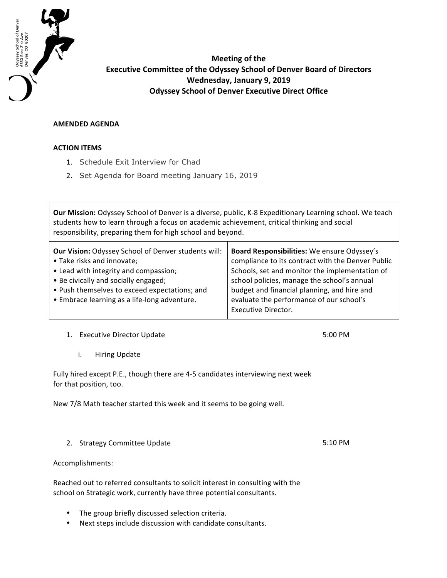

**Meeting of the Executive Committee of the Odyssey School of Denver Board of Directors Wednesday, January 9, 2019 Odyssey School of Denver Executive Direct Office** 

## **AMENDED AGENDA**

## **ACTION ITEMS**

- 1. Schedule Exit Interview for Chad
- 2. Set Agenda for Board meeting January 16, 2019

Our Mission: Odyssey School of Denver is a diverse, public, K-8 Expeditionary Learning school. We teach students how to learn through a focus on academic achievement, critical thinking and social responsibility, preparing them for high school and beyond.

| <b>Our Vision: Odyssey School of Denver students will:</b> | Board Responsibilities: We ensure Odyssey's       |
|------------------------------------------------------------|---------------------------------------------------|
| • Take risks and innovate;                                 | compliance to its contract with the Denver Public |
| • Lead with integrity and compassion;                      | Schools, set and monitor the implementation of    |
| • Be civically and socially engaged;                       | school policies, manage the school's annual       |
| • Push themselves to exceed expectations; and              | budget and financial planning, and hire and       |
| • Embrace learning as a life-long adventure.               | evaluate the performance of our school's          |
|                                                            | <b>Executive Director.</b>                        |
|                                                            |                                                   |

1. Executive Director Update

i. Hiring Update

Fully hired except P.E., though there are 4-5 candidates interviewing next week for that position, too.

New 7/8 Math teacher started this week and it seems to be going well.

2. Strategy Committee Update

Accomplishments:

Reached out to referred consultants to solicit interest in consulting with the school on Strategic work, currently have three potential consultants.

- The group briefly discussed selection criteria.
- Next steps include discussion with candidate consultants.

5:10 PM

5:00 PM